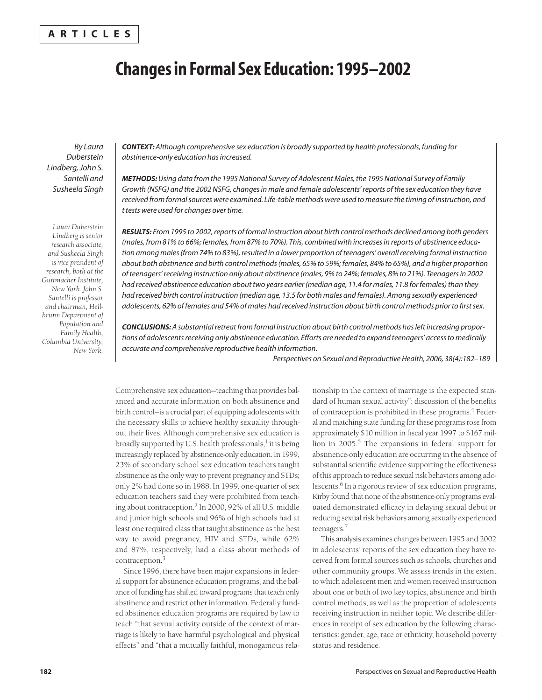#### **ARTICLES**

## **Changes in Formal Sex Education: 1995–2002**

*By Laura Duberstein Lindberg, John S. Santelli and Susheela Singh*

*Laura Duberstein Lindberg is senior research associate, and Susheela Singh is vice president of research, both at the Guttmacher Institute, New York. John S. Santelli is professor and chairman, Heilbrunn Department of Population and Family Health, Columbia University, New York.*

*CONTEXT: Although comprehensive sex education is broadly supported by health professionals, funding for abstinence-only education has increased.* 

*METHODS: Using data from the 1995 National Survey of Adolescent Males, the 1995 National Survey of Family Growth (NSFG) and the 2002 NSFG, changes in male and female adolescents' reports of the sex education they have received from formal sources were examined. Life-table methods were used to measure the timing of instruction, and t tests were used for changes over time.*

*RESULTS: From 1995 to 2002, reports of formal instruction about birth control methods declined among both genders (males, from 81% to 66%; females, from 87% to 70%). This, combined with increases in reports of abstinence education among males (from 74% to 83%), resulted in a lower proportion of teenagers' overall receiving formal instruction about both abstinence and birth control methods (males, 65% to 59%; females, 84% to 65%), and a higher proportion of teenagers' receiving instruction only about abstinence (males, 9% to 24%; females, 8% to 21%). Teenagers in 2002 had received abstinence education about two years earlier (median age, 11.4 for males, 11.8 for females) than they had received birth control instruction (median age, 13.5 for both males and females). Among sexually experienced adolescents, 62% of females and 54% of males had received instruction about birth control methods prior to first sex.*

*CONCLUSIONS: A substantial retreat from formal instruction about birth control methods has left increasing proportions of adolescents receiving only abstinence education. Efforts are needed to expand teenagers' access to medically accurate and comprehensive reproductive health information.*

*Perspectives on Sexual and Reproductive Health, 2006, 38(4):182–189*

Comprehensive sex education—teaching that provides balanced and accurate information on both abstinence and birth control—is a crucial part of equipping adolescents with the necessary skills to achieve healthy sexuality throughout their lives. Although comprehensive sex education is broadly supported by U.S. health professionals, $<sup>1</sup>$  it is being</sup> increasingly replaced by abstinence-only education. In 1999, 23% of secondary school sex education teachers taught abstinence as the only way to prevent pregnancy and STDs; only 2% had done so in 1988. In 1999, one-quarter of sex education teachers said they were prohibited from teaching about contraception.2 In 2000, 92% of all U.S. middle and junior high schools and 96% of high schools had at least one required class that taught abstinence as the best way to avoid pregnancy, HIV and STDs, while 62% and 87%, respectively, had a class about methods of contraception.3

Since 1996, there have been major expansions in federal support for abstinence education programs, and the balance of funding has shifted toward programs that teach only abstinence and restrict other information. Federally funded abstinence education programs are required by law to teach "that sexual activity outside of the context of marriage is likely to have harmful psychological and physical effects" and "that a mutually faithful, monogamous relationship in the context of marriage is the expected standard of human sexual activity"; discussion of the benefits of contraception is prohibited in these programs.4 Federal and matching state funding for these programs rose from approximately \$10 million in fiscal year 1997 to \$167 million in 2005.<sup>5</sup> The expansions in federal support for abstinence-only education are occurring in the absence of substantial scientific evidence supporting the effectiveness of this approach to reduce sexual risk behaviors among adolescents.<sup>6</sup> In a rigorous review of sex education programs, Kirby found that none of the abstinence-only programs evaluated demonstrated efficacy in delaying sexual debut or reducing sexual risk behaviors among sexually experienced teenagers.7

This analysis examines changes between 1995 and 2002 in adolescents' reports of the sex education they have received from formal sources such as schools, churches and other community groups. We assess trends in the extent to which adolescent men and women received instruction about one or both of two key topics, abstinence and birth control methods, as well as the proportion of adolescents receiving instruction in neither topic. We describe differences in receipt of sex education by the following characteristics: gender, age, race or ethnicity, household poverty status and residence.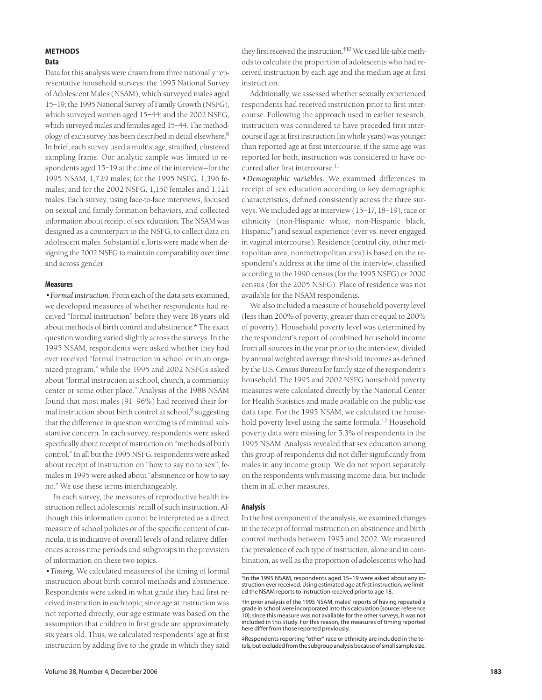### **METHODS**

#### **Data**

Data for this analysis were drawn from three nationally representative household surveys: the 1995 National Survey of Adolescent Males (NSAM), which surveyed males aged 15–19; the 1995 National Survey of Family Growth (NSFG), which surveyed women aged 15–44; and the 2002 NSFG, which surveyed males and females aged 15–44. The methodology of each survey has been described in detail elsewhere.8 In brief, each survey used a multistage, stratified, clustered sampling frame. Our analytic sample was limited to respondents aged 15–19 at the time of the interview—for the 1995 NSAM, 1,729 males; for the 1995 NSFG, 1,396 females; and for the 2002 NSFG, 1,150 females and 1,121 males. Each survey, using face-to-face interviews, focused on sexual and family formation behaviors, and collected information about receipt of sex education. The NSAM was designed as a counterpart to the NSFG, to collect data on adolescent males. Substantial efforts were made when designing the 2002 NSFG to maintain comparability over time and across gender.

#### **Measures**

*•Formal instruction.* From each of the data sets examined, we developed measures of whether respondents had received "formal instruction" before they were 18 years old about methods of birth control and abstinence.\* The exact question wording varied slightly across the surveys. In the 1995 NSAM, respondents were asked whether they had ever received "formal instruction in school or in an organized program," while the 1995 and 2002 NSFGs asked about "formal instruction at school, church, a community center or some other place." Analysis of the 1988 NSAM found that most males (91–96%) had received their formal instruction about birth control at school,<sup>9</sup> suggesting that the difference in question wording is of minimal substantive concern. In each survey, respondents were asked specifically about receipt of instruction on "methods of birth control." In all but the 1995 NSFG, respondents were asked about receipt of instruction on "how to say no to sex"; females in 1995 were asked about "abstinence or how to say no." We use these terms interchangeably.

In each survey, the measures of reproductive health instruction reflect adolescents' recall of such instruction. Although this information cannot be interpreted as a direct measure of school policies or of the specific content of curricula, it is indicative of overall levels of and relative differences across time periods and subgroups in the provision of information on these two topics.

*•Timing.* We calculated measures of the timing of formal instruction about birth control methods and abstinence. Respondents were asked in what grade they had first received instruction in each topic; since age at instruction was not reported directly, our age estimate was based on the assumption that children in first grade are approximately six years old. Thus, we calculated respondents' age at first instruction by adding five to the grade in which they said

they first received the instruction.†10 We used life-table methods to calculate the proportion of adolescents who had received instruction by each age and the median age at first instruction.

Additionally, we assessed whether sexually experienced respondents had received instruction prior to first intercourse. Following the approach used in earlier research, instruction was considered to have preceded first intercourse if age at first instruction (in whole years) was younger than reported age at first intercourse; if the same age was reported for both, instruction was considered to have occurred after first intercourse.<sup>11</sup>

*•Demographic variables.* We examined differences in receipt of sex education according to key demographic characteristics, defined consistently across the three surveys. We included age at interview (15–17, 18–19), race or ethnicity (non-Hispanic white, non-Hispanic black, Hispanic<sup>†</sup>) and sexual experience (ever vs. never engaged in vaginal intercourse). Residence (central city, other metropolitan area, nonmetropolitan area) is based on the respondent's address at the time of the interview, classified according to the 1990 census (for the 1995 NSFG) or 2000 census (for the 2005 NSFG). Place of residence was not available for the NSAM respondents.

We also included a measure of household poverty level (less than 200% of poverty, greater than or equal to 200% of poverty). Household poverty level was determined by the respondent's report of combined household income from all sources in the year prior to the interview, divided by annual weighted average threshold incomes as defined by the U.S. Census Bureau for family size of the respondent's household. The 1995 and 2002 NSFG household poverty measures were calculated directly by the National Center for Health Statistics and made available on the public-use data tape. For the 1995 NSAM, we calculated the household poverty level using the same formula.<sup>12</sup> Household poverty data were missing for 5.3% of respondents in the 1995 NSAM. Analysis revealed that sex education among this group of respondents did not differ significantly from males in any income group. We do not report separately on the respondents with missing income data, but include them in all other measures.

#### **Analysis**

In the first component of the analysis, we examined changes in the receipt of formal instruction on abstinence and birth control methods between 1995 and 2002. We measured the prevalence of each type of instruction, alone and in combination, as well as the proportion of adolescents who had

‡Respondents reporting "other" race or ethnicity are included in the totals, but excluded from the subgroup analysis because of small sample size.

<sup>\*</sup>In the 1995 NSAM, respondents aged 15–19 were asked about any instruction ever received. Using estimated age at first instruction, we limited the NSAM reports to instruction received prior to age 18.

<sup>†</sup>In prior analysis of the 1995 NSAM, males' reports of having repeated a grade in school were incorporated into this calculation (source: reference 10); since this measure was not available for the other surveys, it was not included in this study. For this reason, the measures of timing reported here differ from those reported previously.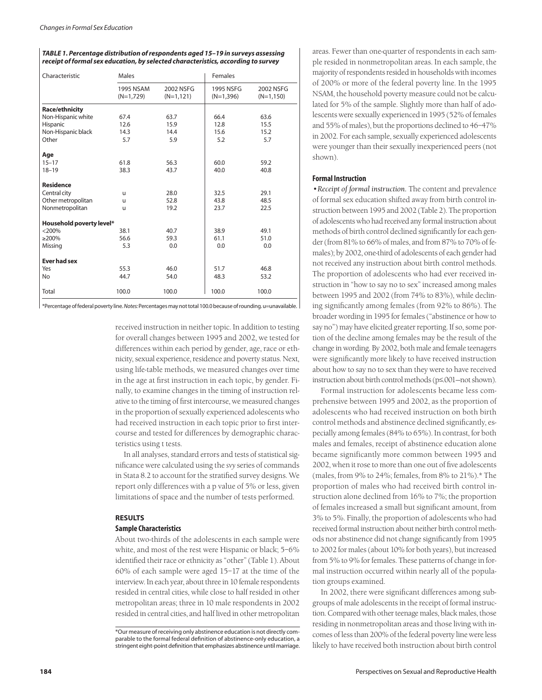#### *TABLE 1. Percentage distribution of respondents aged 15–19 in surveys assessing receipt of formal sex education, by selected characteristics, according to survey*

| Characteristic           | Males                    |                           | Females                  |                           |  |  |  |  |
|--------------------------|--------------------------|---------------------------|--------------------------|---------------------------|--|--|--|--|
|                          | 1995 NSAM<br>$(N=1,729)$ | 2002 NSFG<br>$(N=1, 121)$ | 1995 NSFG<br>$(N=1,396)$ | 2002 NSFG<br>$(N=1, 150)$ |  |  |  |  |
| <b>Race/ethnicity</b>    |                          |                           |                          |                           |  |  |  |  |
| Non-Hispanic white       | 67.4                     | 63.7                      | 66.4                     | 63.6                      |  |  |  |  |
| Hispanic                 | 12.6                     | 15.9                      | 12.8                     | 15.5                      |  |  |  |  |
| Non-Hispanic black       | 14.3                     | 14.4                      | 15.6                     | 15.2                      |  |  |  |  |
| Other                    | 5.7                      | 5.9                       | 5.2                      | 5.7                       |  |  |  |  |
| Age                      |                          |                           |                          |                           |  |  |  |  |
| $15 - 17$                | 61.8                     | 56.3                      | 60.0                     | 59.2                      |  |  |  |  |
| $18 - 19$                | 38.3                     | 43.7                      | 40.0                     | 40.8                      |  |  |  |  |
| <b>Residence</b>         |                          |                           |                          |                           |  |  |  |  |
| Central city             | u                        | 28.0                      | 32.5                     | 29.1                      |  |  |  |  |
| Other metropolitan       | u                        | 52.8                      | 43.8                     | 48.5                      |  |  |  |  |
| Nonmetropolitan          | u                        | 19.2                      | 23.7                     | 22.5                      |  |  |  |  |
| Household poverty level* |                          |                           |                          |                           |  |  |  |  |
| $<$ 200%                 | 38.1                     | 40.7                      | 38.9                     | 49.1                      |  |  |  |  |
| $\geq$ 200%              | 56.6                     | 59.3                      | 61.1                     | 51.0                      |  |  |  |  |
| Missing                  | 5.3                      | 0.0                       | 0.0                      | 0.0                       |  |  |  |  |
| <b>Ever had sex</b>      |                          |                           |                          |                           |  |  |  |  |
| Yes                      | 55.3                     | 46.0                      | 51.7                     | 46.8                      |  |  |  |  |
| No                       | 44.7                     | 54.0                      | 48.3                     | 53.2                      |  |  |  |  |
| Total                    | 100.0                    | 100.0                     | 100.0                    | 100.0                     |  |  |  |  |

\*Percentage of federal poverty line*. Notes:* Percentages may not total 100.0 because of rounding. u=unavailable.

received instruction in neither topic. In addition to testing for overall changes between 1995 and 2002, we tested for differences within each period by gender, age, race or ethnicity, sexual experience, residence and poverty status. Next, using life-table methods, we measured changes over time in the age at first instruction in each topic, by gender. Finally, to examine changes in the timing of instruction relative to the timing of first intercourse, we measured changes in the proportion of sexually experienced adolescents who had received instruction in each topic prior to first intercourse and tested for differences by demographic characteristics using t tests.

In all analyses, standard errors and tests of statistical significance were calculated using the *svy* series of commands in Stata 8.2 to account for the stratified survey designs. We report only differences with a p value of 5% or less, given limitations of space and the number of tests performed.

#### **RESULTS**

#### **Sample Characteristics**

About two-thirds of the adolescents in each sample were white, and most of the rest were Hispanic or black; 5–6% identified their race or ethnicity as "other" (Table 1). About 60% of each sample were aged 15–17 at the time of the interview. In each year, about three in 10 female respondents resided in central cities, while close to half resided in other metropolitan areas; three in 10 male respondents in 2002 resided in central cities, and half lived in other metropolitan areas. Fewer than one-quarter of respondents in each sample resided in nonmetropolitan areas. In each sample, the majority of respondents resided in households with incomes of 200% or more of the federal poverty line. In the 1995 NSAM, the household poverty measure could not be calculated for 5% of the sample. Slightly more than half of adolescents were sexually experienced in 1995 (52% of females and 55% of males), but the proportions declined to 46–47% in 2002. For each sample, sexually experienced adolescents were younger than their sexually inexperienced peers (not shown).

#### **Formal Instruction**

*•Receipt of formal instruction.* The content and prevalence of formal sex education shifted away from birth control instruction between 1995 and 2002 (Table 2). The proportion of adolescents who had received any formal instruction about methods of birth control declined significantly for each gender (from 81% to 66% of males, and from 87% to 70% of females); by 2002, one-third of adolescents of each gender had not received any instruction about birth control methods. The proportion of adolescents who had ever received instruction in "how to say no to sex" increased among males between 1995 and 2002 (from 74% to 83%), while declining significantly among females (from 92% to 86%). The broader wording in 1995 for females ("abstinence or how to say no") may have elicited greater reporting. If so, some portion of the decline among females may be the result of the change in wording. By 2002, both male and female teenagers were significantly more likely to have received instruction about how to say no to sex than they were to have received instruction about birth control methods (p≤.001—not shown).

Formal instruction for adolescents became less comprehensive between 1995 and 2002, as the proportion of adolescents who had received instruction on both birth control methods and abstinence declined significantly, especially among females (84% to 65%). In contrast, for both males and females, receipt of abstinence education alone became significantly more common between 1995 and 2002, when it rose to more than one out of five adolescents (males, from 9% to 24%; females, from 8% to 21%).\* The proportion of males who had received birth control instruction alone declined from 16% to 7%; the proportion of females increased a small but significant amount, from 3% to 5%. Finally, the proportion of adolescents who had received formal instruction about neither birth control methods nor abstinence did not change significantly from 1995 to 2002 for males (about 10% for both years), but increased from 5% to 9% for females. These patterns of change in formal instruction occurred within nearly all of the population groups examined.

In 2002, there were significant differences among subgroups of male adolescents in the receipt of formal instruction. Compared with other teenage males, black males, those residing in nonmetropolitan areas and those living with incomes of less than 200% of the federal poverty line were less likely to have received both instruction about birth control

<sup>\*</sup>Our measure of receiving only abstinence education is not directly comparable to the formal federal definition of abstinence-only education, a stringent eight-point definition that emphasizes abstinence until marriage.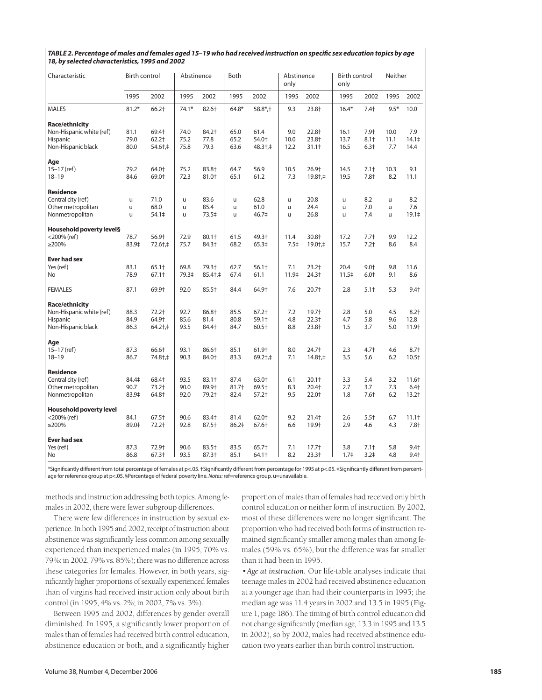| Characteristic                 | Birth control |            | Abstinence |          | Both     |                   | Abstinence<br>only |                         | <b>Birth control</b><br>only |                  | Neither |                   |
|--------------------------------|---------------|------------|------------|----------|----------|-------------------|--------------------|-------------------------|------------------------------|------------------|---------|-------------------|
|                                | 1995          | 2002       | 1995       | 2002     | 1995     | 2002              | 1995               | 2002                    | 1995                         | 2002             | 1995    | 2002              |
| <b>MALES</b>                   | $81.2*$       | 66.2†      | $74.1*$    | 82.6+    | $64.8*$  | $58.8*$ ;+        | 9.3                | 23.8+                   | $16.4*$                      | $7.4+$           | $9.5*$  | 10.0              |
| Race/ethnicity                 |               |            |            |          |          |                   |                    |                         |                              |                  |         |                   |
| Non-Hispanic white (ref)       | 81.1          | 69.4+      | 74.0       | 84.2+    | 65.0     | 61.4              | 9.0                | 22.8+                   | 16.1                         | 7.9+             | 10.0    | 7.9               |
| Hispanic                       | 79.0          | $62.2$ †   | 75.2       | 77.8     | 65.2     | 54.0+             | 10.0               | 23.8+                   | 13.7                         | $8.1 +$          | 11.1    | 14.1 <sup>‡</sup> |
| Non-Hispanic black             | 80.0          | 54.6†,‡    | 75.8       | 79.3     | 63.6     | 48.3†,‡           | 12.2               | $31.1+$                 | 16.5                         | $6.3+$           | 7.7     | 14.4              |
| Age                            |               |            |            |          |          |                   |                    |                         |                              |                  |         |                   |
| $15 - 17$ (ref)                | 79.2          | 64.0+      | 75.2       | 83.8+    | 64.7     | 56.9              | 10.5               | 26.9 <sup>+</sup>       | 14.5                         | $7.1+$           | 10.3    | 9.1               |
| $18 - 19$                      | 84.6          | 69.0+      | 72.3       | 81.0+    | 65.1     | 61.2              | 7.3                | 19.8+,‡                 | 19.5                         | $7.8+$           | 8.2     | 11.1              |
| <b>Residence</b>               |               |            |            |          |          |                   |                    |                         |                              |                  |         |                   |
| Central city (ref)             | u             | 71.0       | u          | 83.6     | <b>u</b> | 62.8              | u                  | 20.8                    | u                            | 8.2              | u       | 8.2               |
| Other metropolitan             | u             | 68.0       | u          | 85.4     | u        | 61.0              | u                  | 24.4                    | u                            | 7.0              | u       | 7.6               |
| Nonmetropolitan                | u             | 54.1‡      | u          | 73.5‡    | u        | 46.7‡             | u                  | 26.8                    | u                            | 7.4              | u       | 19.1 <sup>‡</sup> |
| Household poverty level§       |               |            |            |          |          |                   |                    |                         |                              |                  |         |                   |
| $<$ 200% (ref)                 | 78.7          | 56.9†      | 72.9       | $80.1 +$ | 61.5     | 49.3+             | 11.4               | 30.8+                   | 17.2                         | $7.7+$           | 9.9     | 12.2              |
| $\geq$ 200%                    | 83.9‡         | 72.6†,‡    | 75.7       | 84.3†    | 68.2     | 65.3‡             | 7.5 <sup>‡</sup>   | $19.0 + +$              | 15.7                         | $7.2+$           | 8.6     | 8.4               |
| <b>Ever had sex</b>            |               |            |            |          |          |                   |                    |                         |                              |                  |         |                   |
| Yes (ref)                      | 83.1          | 65.1+      | 69.8       | 79.3+    | 62.7     | $56.1+$           | 7.1                | $23.2+$                 | 20.4                         | $9.0+$           | 9.8     | 11.6              |
| No                             | 78.9          | $67.1+$    | 79.3‡      | 85.4+,‡  | 67.4     | 61.1              | 11.9‡              | 24.3+                   | 11.5‡                        | $6.0+$           | 9.1     | 8.6               |
| <b>FEMALES</b>                 | 87.1          | 69.9†      | 92.0       | 85.5+    | 84.4     | 64.9 <sup>+</sup> | 7.6                | $20.7+$                 | 2.8                          | $5.1+$           | 5.3     | $9.4+$            |
| Race/ethnicity                 |               |            |            |          |          |                   |                    |                         |                              |                  |         |                   |
| Non-Hispanic white (ref)       | 88.3          | $72.2+$    | 92.7       | 86.8+    | 85.5     | $67.2+$           | 7.2                | $19.7+$                 | 2.8                          | 5.0              | 4.5     | $8.2 +$           |
| Hispanic                       | 84.9          | 64.9+      | 85.6       | 81.4     | 80.8     | $59.1+$           | 4.8                | $22.3+$                 | 4.7                          | 5.8              | 9.6     | 12.8              |
| Non-Hispanic black             | 86.3          | $64.2 + +$ | 93.5       | 84.4+    | 84.7     | $60.5+$           | 8.8                | 23.8+                   | 1.5                          | 3.7              | 5.0     | 11.9+             |
| Age                            |               |            |            |          |          |                   |                    |                         |                              |                  |         |                   |
| $15 - 17$ (ref)                | 87.3          | 66.6†      | 93.1       | 86.6†    | 85.1     | 61.9 <sup>+</sup> | 8.0                | 24.7+                   | 2.3                          | $4.7+$           | 4.6     | $8.7 +$           |
| $18 - 19$                      | 86.7          | 74.8†,‡    | 90.3       | 84.0+    | 83.3     | $69.2$ †,‡        | 7.1                | $14.8\dagger, \ddagger$ | 3.5                          | 5.6              | 6.2     | $10.5+$           |
| <b>Residence</b>               |               |            |            |          |          |                   |                    |                         |                              |                  |         |                   |
| Central city (ref)             | 84.4‡         | 68.4†      | 93.5       | $83.1 +$ | 87.4     | 63.0+             | 6.1                | $20.1+$                 | 3.3                          | 5.4              | 3.2     | $11.6+$           |
| Other metropolitan             | 90.7          | 73.2+      | 90.0       | 89.9‡    | 81.7‡    | 69.5†             | 8.3                | $20.4+$                 | 2.7                          | 3.7              | 7.3     | 6.4 <sup>‡</sup>  |
| Nonmetropolitan                | 83.9‡         | 64.8+      | 92.0       | 79.2+    | 82.4     | $57.2+$           | 9.5                | 22.0+                   | 1.8                          | $7.6+$           | 6.2     | $13.2+$           |
| <b>Household poverty level</b> |               |            |            |          |          |                   |                    |                         |                              |                  |         |                   |
| $<$ 200% (ref)                 | 84.1          | 67.5†      | 90.6       | 83.4+    | 81.4     | 62.0+             | 9.2                | 21.4+                   | 2.6                          | $5.5+$           | 6.7     | $11.1+$           |
| $\geq$ 200%                    | 89.0‡         | 72.2†      | 92.8       | $87.5+$  | 86.2‡    | 67.6†             | 6.6                | 19.9+                   | 2.9                          | 4.6              | 4.3     | $7.8+$            |
| <b>Ever had sex</b>            |               |            |            |          |          |                   |                    |                         |                              |                  |         |                   |
| Yes (ref)                      | 87.3          | 72.9+      | 90.6       | 83.5+    | 83.5     | 65.7 <sup>+</sup> | 7.1                | $17.7+$                 | 3.8                          | $7.1+$           | 5.8     | $9.4+$            |
| <b>No</b>                      | 86.8          | 67.3+      | 93.5       | 87.3+    | 85.1     | 64.1+             | 8.2                | $23.3+$                 | 1.7 <sup>±</sup>             | 3.2 <sup>‡</sup> | 4.8     | $9.4 +$           |

#### *TABLE 2. Percentage of males and females aged 15–19 who had received instruction on specific sex education topics by age 18, by selected characteristics, 1995 and 2002*

\*Significantly different from total percentage of females at p<.05. †Significantly different from percentage for 1995 at p<.05. ‡Significantly different from percentage for reference group at p<.05. §Percentage of federal poverty line. *Notes:*ref=reference group. u=unavailable.

methods and instruction addressing both topics. Among females in 2002, there were fewer subgroup differences.

There were few differences in instruction by sexual experience. In both 1995 and 2002, receipt of instruction about abstinence was significantly less common among sexually experienced than inexperienced males (in 1995, 70% vs. 79%; in 2002, 79% vs. 85%); there was no difference across these categories for females. However, in both years, significantly higher proportions of sexually experienced females than of virgins had received instruction only about birth control (in 1995, 4% vs. 2%; in 2002, 7% vs. 3%).

Between 1995 and 2002, differences by gender overall diminished. In 1995, a significantly lower proportion of males than of females had received birth control education, abstinence education or both, and a significantly higher proportion of males than of females had received only birth control education or neither form of instruction. By 2002, most of these differences were no longer significant. The proportion who had received both forms of instruction remained significantly smaller among males than among females (59% vs. 65%), but the difference was far smaller than it had been in 1995.

*•Age at instruction.* Our life-table analyses indicate that teenage males in 2002 had received abstinence education at a younger age than had their counterparts in 1995; the median age was 11.4 years in 2002 and 13.5 in 1995 (Figure 1, page 186). The timing of birth control education did not change significantly (median age, 13.3 in 1995 and 13.5 in 2002), so by 2002, males had received abstinence education two years earlier than birth control instruction.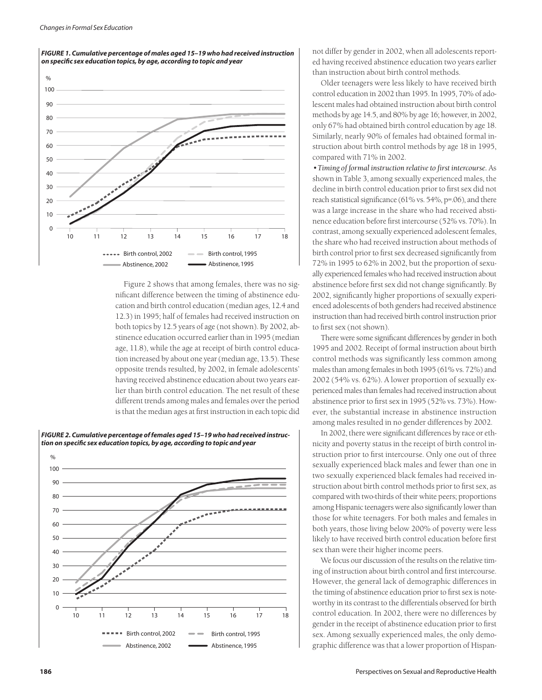

Figure 2 shows that among females, there was no significant difference between the timing of abstinence education and birth control education (median ages, 12.4 and 12.3) in 1995; half of females had received instruction on both topics by 12.5 years of age (not shown). By 2002, abstinence education occurred earlier than in 1995 (median age, 11.8), while the age at receipt of birth control education increased by about one year (median age, 13.5). These opposite trends resulted, by 2002, in female adolescents' having received abstinence education about two years earlier than birth control education. The net result of these different trends among males and females over the period is that the median ages at first instruction in each topic did



*FIGURE 1. Cumulative percentage of males aged 15–19 who had received instruction on specific sex education topics, by age, according to topic and year*

not differ by gender in 2002, when all adolescents reported having received abstinence education two years earlier than instruction about birth control methods.

Older teenagers were less likely to have received birth control education in 2002 than 1995. In 1995, 70% of adolescent males had obtained instruction about birth control methods by age 14.5, and 80% by age 16; however, in 2002, only 67% had obtained birth control education by age 18. Similarly, nearly 90% of females had obtained formal instruction about birth control methods by age 18 in 1995, compared with 71% in 2002.

*•Timing of formal instruction relative to first intercourse.* As shown in Table 3, among sexually experienced males, the decline in birth control education prior to first sex did not reach statistical significance (61% vs. 54%, p=.06), and there was a large increase in the share who had received abstinence education before first intercourse (52% vs. 70%). In contrast, among sexually experienced adolescent females, the share who had received instruction about methods of birth control prior to first sex decreased significantly from 72% in 1995 to 62% in 2002, but the proportion of sexually experienced females who had received instruction about abstinence before first sex did not change significantly. By 2002, significantly higher proportions of sexually experienced adolescents of both genders had received abstinence instruction than had received birth control instruction prior to first sex (not shown).

There were some significant differences by gender in both 1995 and 2002. Receipt of formal instruction about birth control methods was significantly less common among males than among females in both 1995 (61% vs. 72%) and 2002 (54% vs. 62%). A lower proportion of sexually experienced males than females had received instruction about abstinence prior to first sex in 1995 (52% vs. 73%). However, the substantial increase in abstinence instruction among males resulted in no gender differences by 2002.

In 2002, there were significant differences by race or ethnicity and poverty status in the receipt of birth control instruction prior to first intercourse. Only one out of three sexually experienced black males and fewer than one in two sexually experienced black females had received instruction about birth control methods prior to first sex, as compared with two-thirds of their white peers; proportions among Hispanic teenagers were also significantly lower than those for white teenagers. For both males and females in both years, those living below 200% of poverty were less likely to have received birth control education before first sex than were their higher income peers.

We focus our discussion of the results on the relative timing of instruction about birth control and first intercourse. However, the general lack of demographic differences in the timing of abstinence education prior to first sex is noteworthy in its contrast to the differentials observed for birth control education. In 2002, there were no differences by gender in the receipt of abstinence education prior to first sex. Among sexually experienced males, the only demographic difference was that a lower proportion of Hispan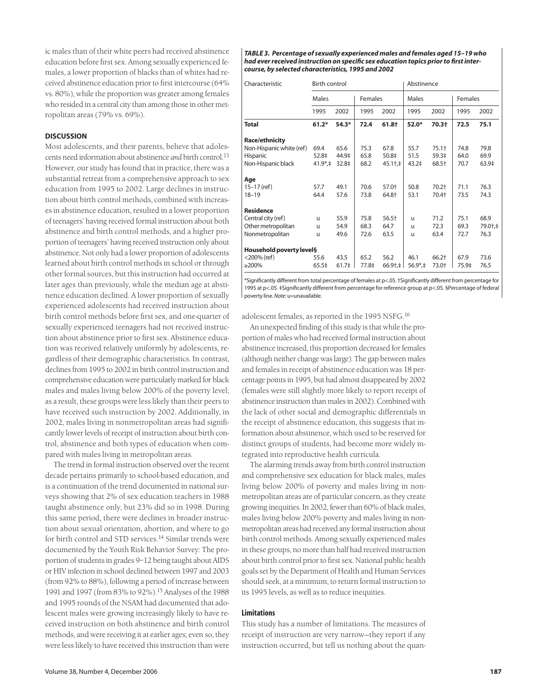ic males than of their white peers had received abstinence education before first sex. Among sexually experienced females, a lower proportion of blacks than of whites had received abstinence education prior to first intercourse (64% vs. 80%), while the proportion was greater among females who resided in a central city than among those in other metropolitan areas (79% vs. 69%).

#### **DISCUSSION**

Most adolescents, and their parents, believe that adolescents need information about abstinence *and* birth control<sup>13</sup> However, our study has found that in practice, there was a substantial retreat from a comprehensive approach to sex education from 1995 to 2002. Large declines in instruction about birth control methods, combined with increases in abstinence education, resulted in a lower proportion of teenagers' having received formal instruction about both abstinence and birth control methods, and a higher proportion of teenagers' having received instruction only about abstinence. Not only had a lower proportion of adolescents learned about birth control methods in school or through other formal sources, but this instruction had occurred at later ages than previously, while the median age at abstinence education declined. A lower proportion of sexually experienced adolescents had received instruction about birth control methods before first sex, and one-quarter of sexually experienced teenagers had not received instruction about abstinence prior to first sex. Abstinence education was received relatively uniformly by adolescents, regardless of their demographic characteristics. In contrast, declines from 1995 to 2002 in birth control instruction and comprehensive education were particularly marked for black males and males living below 200% of the poverty level; as a result, these groups were less likely than their peers to have received such instruction by 2002. Additionally, in 2002, males living in nonmetropolitan areas had significantly lower levels of receipt of instruction about birth control, abstinence and both types of education when compared with males living in metropolitan areas.

The trend in formal instruction observed over the recent decade pertains primarily to school-based education, and is a continuation of the trend documented in national surveys showing that 2% of sex education teachers in 1988 taught abstinence only, but 23% did so in 1998. During this same period, there were declines in broader instruction about sexual orientation, abortion, and where to go for birth control and STD services.<sup>14</sup> Similar trends were documented by the Youth Risk Behavior Survey: The proportion of students in grades 9–12 being taught about AIDS or HIV infection in school declined between 1997 and 2003 (from 92% to 88%), following a period of increase between 1991 and 1997 (from 83% to 92%).15 Analyses of the 1988 and 1995 rounds of the NSAM had documented that adolescent males were growing increasingly likely to have received instruction on both abstinence and birth control methods, and were receiving it at earlier ages; even so, they were less likely to have received this instruction than were *TABLE 3. Percentage of sexually experienced males and females aged 15–19 who had ever received instruction on specific sex education topics prior to first intercourse, by selected characteristics, 1995 and 2002*

| Characteristic           | Birth control         |                   |         |                 | Abstinence              |         |         |         |
|--------------------------|-----------------------|-------------------|---------|-----------------|-------------------------|---------|---------|---------|
|                          | Males                 |                   | Females |                 | Males                   |         | Females |         |
|                          | 1995                  | 2002              | 1995    | 2002            | 1995                    | 2002    | 1995    | 2002    |
| Total                    | $61.2*$               | $54.3*$           | 72.4    | 61.8+           | $52.0*$                 | 70.3+   | 72.5    | 75.1    |
| Race/ethnicity           |                       |                   |         |                 |                         |         |         |         |
| Non-Hispanic white (ref) | 69.4                  | 65.6              | 75.3    | 67.8            | 55.7                    | $75.1+$ | 74.8    | 79.8    |
| Hispanic                 | 52.8‡                 | 44.9‡             | 65.8    | 50.8‡           | 51.5                    | 59.3‡   | 64.0    | 69.9    |
| Non-Hispanic black       | $41.9^*$ . $\ddagger$ | 32.8‡             | 68.2    | 45.1†,‡         | 43.2 <sup>‡</sup>       | 68.5†   | 70.7    | 63.9‡   |
| Age                      |                       |                   |         |                 |                         |         |         |         |
| $15 - 17$ (ref)          | 57.7                  | 49.1              | 70.6    | 57.0+           | 50.8                    | $70.2+$ | 71.1    | 76.3    |
| $18 - 19$                | 64.4                  | 57.6              | 73.8    | 64.8†           | 53.1                    | 70.4+   | 73.5    | 74.3    |
| <b>Residence</b>         |                       |                   |         |                 |                         |         |         |         |
| Central city (ref)       | u                     | 55.9              | 75.8    | $56.5+$         | u                       | 71.2    | 75.1    | 68.9    |
| Other metropolitan       | u                     | 54.9              | 68.3    | 64.7            | u                       | 72.3    | 69.3    | 79.0+,‡ |
| Nonmetropolitan          | u                     | 49.6              | 72.6    | 63.5            | u                       | 63.4    | 72.7    | 76.3    |
| Household poverty level§ |                       |                   |         |                 |                         |         |         |         |
| $<$ 200% (ref)           | 55.6                  | 43.5              | 65.2    | 56.2            | 46.1                    | $66.2+$ | 67.9    | 73.6    |
| $\geq$ 200%              | 65.5‡                 | 61.7 <sup>‡</sup> | 77.8‡   | $66.9\dagger +$ | $56.9$ <sup>*</sup> , ‡ | 73.0+   | 75.9‡   | 76.5    |

\*Significantly different from total percentage of females at p<.05. †Significantly different from percentage for 1995 at p<.05. ‡Significantly different from percentage for reference group at p<.05. §Percentage of federal poverty line. *Note*: u=unavailable.

adolescent females, as reported in the 1995 NSFG.<sup>16</sup>

An unexpected finding of this study is that while the proportion of males who had received formal instruction about abstinence increased, this proportion decreased for females (although neither change was large). The gap between males and females in receipt of abstinence education was 18 percentage points in 1995, but had almost disappeared by 2002 (females were still slightly more likely to report receipt of abstinence instruction than males in 2002). Combined with the lack of other social and demographic differentials in the receipt of abstinence education, this suggests that information about abstinence, which used to be reserved for distinct groups of students, had become more widely integrated into reproductive health curricula.

The alarming trends away from birth control instruction and comprehensive sex education for black males, males living below 200% of poverty and males living in nonmetropolitan areas are of particular concern, as they create growing inequities. In 2002, fewer than 60% of black males, males living below 200% poverty and males living in nonmetropolitan areas had received any formal instruction about birth control methods. Among sexually experienced males in these groups, no more than half had received instruction about birth control prior to first sex. National public health goals set by the Department of Health and Human Services should seek, at a minimum, to return formal instruction to its 1995 levels, as well as to reduce inequities.

#### **Limitations**

This study has a number of limitations. The measures of receipt of instruction are very narrow—they report if any instruction occurred, but tell us nothing about the quan-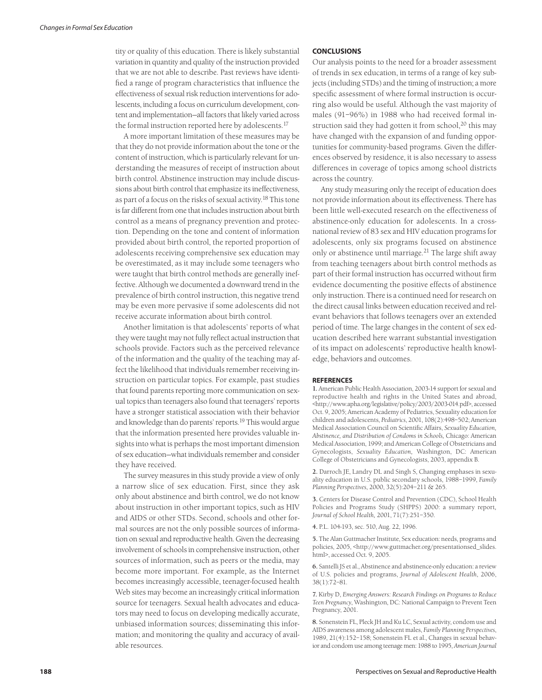tity or quality of this education. There is likely substantial variation in quantity and quality of the instruction provided that we are not able to describe. Past reviews have identified a range of program characteristics that influence the effectiveness of sexual risk reduction interventions for adolescents, including a focus on curriculum development, content and implementation—all factors that likely varied across the formal instruction reported here by adolescents.<sup>17</sup>

A more important limitation of these measures may be that they do not provide information about the tone or the content of instruction, which is particularly relevant for understanding the measures of receipt of instruction about birth control. Abstinence instruction may include discussions about birth control that emphasize its ineffectiveness, as part of a focus on the risks of sexual activity.<sup>18</sup> This tone is far different from one that includes instruction about birth control as a means of pregnancy prevention and protection. Depending on the tone and content of information provided about birth control, the reported proportion of adolescents receiving comprehensive sex education may be overestimated, as it may include some teenagers who were taught that birth control methods are generally ineffective. Although we documented a downward trend in the prevalence of birth control instruction, this negative trend may be even more pervasive if some adolescents did not receive accurate information about birth control.

Another limitation is that adolescents' reports of what they were taught may not fully reflect actual instruction that schools provide. Factors such as the perceived relevance of the information and the quality of the teaching may affect the likelihood that individuals remember receiving instruction on particular topics. For example, past studies that found parents reporting more communication on sexual topics than teenagers also found that teenagers' reports have a stronger statistical association with their behavior and knowledge than do parents' reports.<sup>19</sup> This would argue that the information presented here provides valuable insights into what is perhaps the most important dimension of sex education—what individuals remember and consider they have received.

The survey measures in this study provide a view of only a narrow slice of sex education. First, since they ask only about abstinence and birth control, we do not know about instruction in other important topics, such as HIV and AIDS or other STDs. Second, schools and other formal sources are not the only possible sources of information on sexual and reproductive health. Given the decreasing involvement of schools in comprehensive instruction, other sources of information, such as peers or the media, may become more important. For example, as the Internet becomes increasingly accessible, teenager-focused health Web sites may become an increasingly critical information source for teenagers. Sexual health advocates and educators may need to focus on developing medically accurate, unbiased information sources; disseminating this information; and monitoring the quality and accuracy of available resources.

#### **CONCLUSIONS**

Our analysis points to the need for a broader assessment of trends in sex education, in terms of a range of key subjects (including STDs) and the timing of instruction; a more specific assessment of where formal instruction is occurring also would be useful. Although the vast majority of males (91–96%) in 1988 who had received formal instruction said they had gotten it from school, $20$  this may have changed with the expansion of and funding opportunities for community-based programs. Given the differences observed by residence, it is also necessary to assess differences in coverage of topics among school districts across the country.

Any study measuring only the receipt of education does not provide information about its effectiveness. There has been little well-executed research on the effectiveness of abstinence-only education for adolescents. In a crossnational review of 83 sex and HIV education programs for adolescents, only six programs focused on abstinence only or abstinence until marriage.<sup>21</sup> The large shift away from teaching teenagers about birth control methods as part of their formal instruction has occurred without firm evidence documenting the positive effects of abstinence only instruction. There is a continued need for research on the direct causal links between education received and relevant behaviors that follows teenagers over an extended period of time. The large changes in the content of sex education described here warrant substantial investigation of its impact on adolescents' reproductive health knowledge, behaviors and outcomes.

#### **REFERENCES**

**1.** American Public Health Association, 2003-14 support for sexual and reproductive health and rights in the United States and abroad, <http://www.apha.org/legislative/policy/2003/2003-014.pdf>, accessed Oct. 9, 2005; American Academy of Pediatrics, Sexuality education for children and adolescents, *Pediatrics*, 2001, 108(2):498–502; American Medical Association Council on Scientific Affairs, *Sexuality Education, Abstinence, and Distribution of Condoms in Schools,* Chicago: American Medical Association, 1999; and American College of Obstetricians and Gynecologists, *Sexuality Education,* Washington, DC: American College of Obstetricians and Gynecologists, 2003, appendix B.

**2.** Darroch JE, Landry DL and Singh S, Changing emphases in sexuality education in U.S. public secondary schools, 1988–1999, *Family Planning Perspectives*, 2000, 32(5):204–211 & 265.

**3.** Centers for Disease Control and Prevention (CDC), School Health Policies and Programs Study (SHPPS) 2000: a summary report*, Journal of School Health,* 2001, 71(7):251–350.

**4.** P.L. 104-193, sec. 510, Aug. 22, 1996.

**5.** The Alan Guttmacher Institute, Sex education: needs, programs and policies, 2005, <http://www.guttmacher.org/presentationsed\_slides. html>, accessed Oct. 9, 2005.

**6.** Santelli JS et al., Abstinence and abstinence-only education: a review of U.S. policies and programs, *Journal of Adolescent Health*, 2006, 38(1):72–81.

**7.** Kirby D, *Emerging Answers: Research Findings on Programs to Reduce Teen Pregnancy*, Washington, DC: National Campaign to Prevent Teen Pregnancy, 2001.

**8.** Sonenstein FL, Pleck JH and Ku LC, Sexual activity, condom use and AIDS awareness among adolescent males, *Family Planning Perspectives*, 1989, 21(4):152–158; Sonenstein FL et al., Changes in sexual behavior and condom use among teenage men: 1988 to 1995, *American Journal*